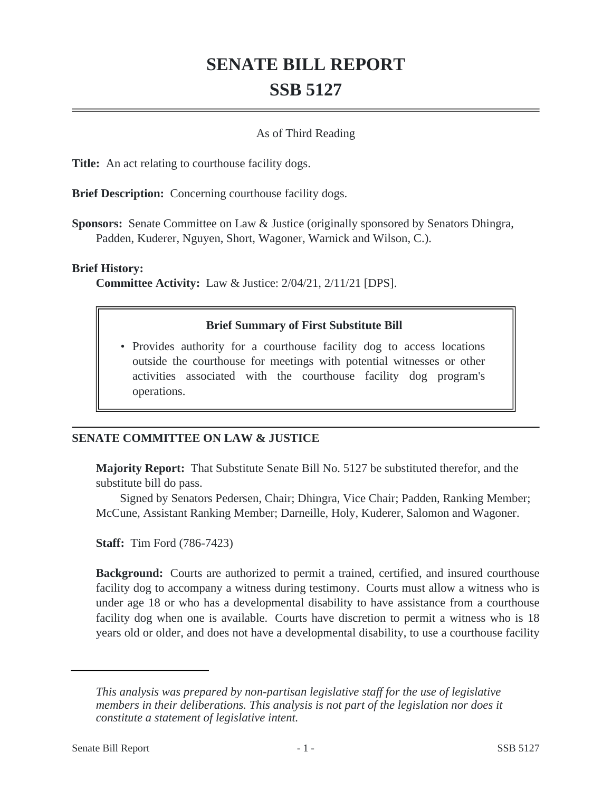# **SENATE BILL REPORT SSB 5127**

### As of Third Reading

**Title:** An act relating to courthouse facility dogs.

**Brief Description:** Concerning courthouse facility dogs.

**Sponsors:** Senate Committee on Law & Justice (originally sponsored by Senators Dhingra, Padden, Kuderer, Nguyen, Short, Wagoner, Warnick and Wilson, C.).

#### **Brief History:**

**Committee Activity:** Law & Justice: 2/04/21, 2/11/21 [DPS].

#### **Brief Summary of First Substitute Bill**

• Provides authority for a courthouse facility dog to access locations outside the courthouse for meetings with potential witnesses or other activities associated with the courthouse facility dog program's operations.

## **SENATE COMMITTEE ON LAW & JUSTICE**

**Majority Report:** That Substitute Senate Bill No. 5127 be substituted therefor, and the substitute bill do pass.

Signed by Senators Pedersen, Chair; Dhingra, Vice Chair; Padden, Ranking Member; McCune, Assistant Ranking Member; Darneille, Holy, Kuderer, Salomon and Wagoner.

**Staff:** Tim Ford (786-7423)

**Background:** Courts are authorized to permit a trained, certified, and insured courthouse facility dog to accompany a witness during testimony. Courts must allow a witness who is under age 18 or who has a developmental disability to have assistance from a courthouse facility dog when one is available. Courts have discretion to permit a witness who is 18 years old or older, and does not have a developmental disability, to use a courthouse facility

*This analysis was prepared by non-partisan legislative staff for the use of legislative members in their deliberations. This analysis is not part of the legislation nor does it constitute a statement of legislative intent.*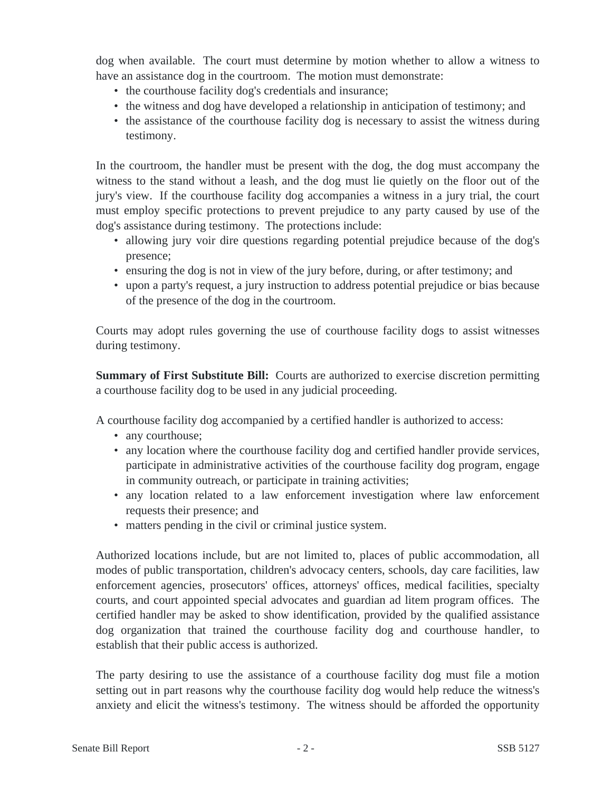dog when available. The court must determine by motion whether to allow a witness to have an assistance dog in the courtroom. The motion must demonstrate:

- the courthouse facility dog's credentials and insurance;
- the witness and dog have developed a relationship in anticipation of testimony; and
- the assistance of the courthouse facility dog is necessary to assist the witness during testimony.

In the courtroom, the handler must be present with the dog, the dog must accompany the witness to the stand without a leash, and the dog must lie quietly on the floor out of the jury's view. If the courthouse facility dog accompanies a witness in a jury trial, the court must employ specific protections to prevent prejudice to any party caused by use of the dog's assistance during testimony. The protections include:

- allowing jury voir dire questions regarding potential prejudice because of the dog's presence;
- ensuring the dog is not in view of the jury before, during, or after testimony; and
- upon a party's request, a jury instruction to address potential prejudice or bias because of the presence of the dog in the courtroom.

Courts may adopt rules governing the use of courthouse facility dogs to assist witnesses during testimony.

**Summary of First Substitute Bill:** Courts are authorized to exercise discretion permitting a courthouse facility dog to be used in any judicial proceeding.

A courthouse facility dog accompanied by a certified handler is authorized to access:

- any courthouse;
- any location where the courthouse facility dog and certified handler provide services, participate in administrative activities of the courthouse facility dog program, engage in community outreach, or participate in training activities;
- any location related to a law enforcement investigation where law enforcement requests their presence; and
- matters pending in the civil or criminal justice system.

Authorized locations include, but are not limited to, places of public accommodation, all modes of public transportation, children's advocacy centers, schools, day care facilities, law enforcement agencies, prosecutors' offices, attorneys' offices, medical facilities, specialty courts, and court appointed special advocates and guardian ad litem program offices. The certified handler may be asked to show identification, provided by the qualified assistance dog organization that trained the courthouse facility dog and courthouse handler, to establish that their public access is authorized.

The party desiring to use the assistance of a courthouse facility dog must file a motion setting out in part reasons why the courthouse facility dog would help reduce the witness's anxiety and elicit the witness's testimony. The witness should be afforded the opportunity